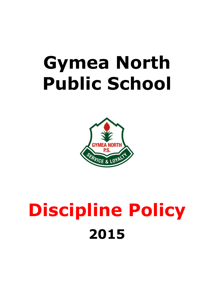# **Gymea North Public School**



# **Discipline Policy 2015**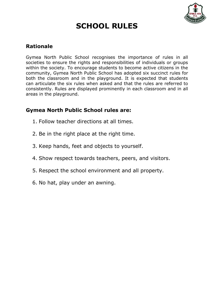

## **SCHOOL RULES**

## **Rationale**

Gymea North Public School recognises the importance of rules in all societies to ensure the rights and responsibilities of individuals or groups within the society. To encourage students to become active citizens in the community, Gymea North Public School has adopted six succinct rules for both the classroom and in the playground. It is expected that students can articulate the six rules when asked and that the rules are referred to consistently. Rules are displayed prominently in each classroom and in all areas in the playground.

### **Gymea North Public School rules are:**

- 1. Follow teacher directions at all times.
- 2. Be in the right place at the right time.
- 3. Keep hands, feet and objects to yourself.
- 4. Show respect towards teachers, peers, and visitors.
- 5. Respect the school environment and all property.
- 6. No hat, play under an awning.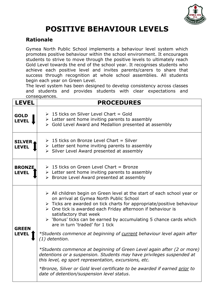

# **POSITIVE BEHAVIOUR LEVELS**

### **Rationale**

Gymea North Public School implements a behaviour level system which promotes positive behaviour within the school environment. It encourages students to strive to move through the positive levels to ultimately reach Gold Level towards the end of the school year. It recognises students who achieve each positive level and invites parents/carers to share that success through recognition at whole school assemblies. All students begin each year on Green Level.

The level system has been designed to develop consistency across classes and students and provides students with clear expectations and consequences.

| <b>LEVEL</b>                  | <b>PROCEDURES</b>                                                                                                                                                                                                                                                                                                                                                                                                                                                                                                                                                                                                                                                                                                                                                                                                                                                                |
|-------------------------------|----------------------------------------------------------------------------------------------------------------------------------------------------------------------------------------------------------------------------------------------------------------------------------------------------------------------------------------------------------------------------------------------------------------------------------------------------------------------------------------------------------------------------------------------------------------------------------------------------------------------------------------------------------------------------------------------------------------------------------------------------------------------------------------------------------------------------------------------------------------------------------|
| <b>GOLD</b><br><b>LEVEL</b>   | $\geq 15$ ticks on Silver Level Chart = Gold<br>$\triangleright$ Letter sent home inviting parents to assembly<br>> Gold Level Award and Medallion presented at assembly                                                                                                                                                                                                                                                                                                                                                                                                                                                                                                                                                                                                                                                                                                         |
| <b>SILVER</b><br><b>LEVEL</b> | $\geq 15$ ticks on Bronze Level Chart = Silver<br>$\triangleright$ Letter sent home inviting parents to assembly<br>> Silver Level Award presented at assembly                                                                                                                                                                                                                                                                                                                                                                                                                                                                                                                                                                                                                                                                                                                   |
| <b>BRONZE</b><br><b>LEVEL</b> | $\geq 15$ ticks on Green Level Chart = Bronze<br>$\triangleright$ Letter sent home inviting parents to assembly<br>> Bronze Level Award presented at assembly                                                                                                                                                                                                                                                                                                                                                                                                                                                                                                                                                                                                                                                                                                                    |
| <b>GREEN</b><br><b>LEVEL</b>  | $\triangleright$ All children begin on Green level at the start of each school year or<br>on arrival at Gymea North Public School<br>> Ticks are awarded on tick charts for appropriate/positive behaviour<br>$\triangleright$ One tick is awarded each Friday afternoon if behaviour is<br>satisfactory that week<br>$\triangleright$ 'Bonus' ticks can be earned by accumulating 5 chance cards which<br>are in turn 'traded' for 1 tick<br>*Students commence at beginning of current behaviour level again after<br>$(1)$ detention.<br>*Students commence at beginning of Green Level again after (2 or more)<br>detentions or a suspension. Students may have privileges suspended at<br>this level, eq sport representation, excursions, etc.<br>*Bronze, Silver or Gold level certificate to be awarded if earned prior to<br>date of detention/suspension level status. |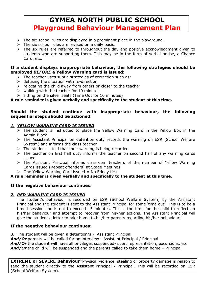## **GYMEA NORTH PUBLIC SCHOOL Playground Behaviour Management Plan**

- $\triangleright$  The six school rules are displayed in a prominent place in the playground.
- $\triangleright$  The six school rules are revised on a daily basis.
- $\triangleright$  The six rules are referred to throughout the day and positive acknowledgment given to students who are supporting them. This may be in the form of verbal praise, a Chance Card, etc.

#### **If a student displays inappropriate behaviour, the following strategies should be employed** *BEFORE* **a Yellow Warning card is issued:**

- $\triangleright$  The teacher uses subtle strategies of correction such as:
- $\triangleright$  defusing the situation with re-direction
- $\triangleright$  relocating the child away from others or closer to the teacher
- $\triangleright$  walking with the teacher for 10 minutes
- $\triangleright$  sitting on the silver seats (Time Out for 10 minutes)

#### **A rule reminder is given verbally and specifically to the student at this time.**

#### **Should the student continue with inappropriate behaviour, the following sequential steps should be actioned:**

#### *1. YELLOW WARNING CARD IS ISSUED*

- $\triangleright$  The student is instructed to place the Yellow Warning Card in the Yellow Box in the Admin Block
- The Assistant Principal on detention duty records the warning on ESR (School Welfare System) and informs the class teacher
- $\triangleright$  The student is told that their warning is being recorded
- $\triangleright$  The teacher on first half duty informs the teacher on second half of any warning cards issued
- $\triangleright$  The Assistant Principal informs classroom teachers of the number of Yellow Warning Cards issued (Repeat offenders) at Stage Meetings
- $\triangleright$  One Yellow Warning Card issued = No Friday tick

#### **A rule reminder is given verbally and specifically to the student at this time.**

#### **If the negative behaviour continues:**

#### *2. RED WARNING CARD IS ISSUED*

The student's behaviour is recorded on ESR (School Welfare System) by the Assistant Principal and the student is sent to the Assistant Principal for some 'time out'. This is to be a timed session and is not to exceed 15 minutes. This is the time for the child to reflect on his/her behaviour and attempt to recover from his/her actions. The Assistant Principal will give the student a letter to take home to his/her parents regarding his/her behaviour.

#### **If the negative behaviour continues:**

*3.* The student will be given a detention/s - Assistant Principal

*And/Or* parents will be called for an interview - Assistant Principal / Principal **And/Or** the student will have all privileges suspended- sport representation, excursions, etc **And/Or** the child will be suspended and the parents called to take them home - Principal

**EXTREME or SEVERE Behaviour**\*Physical violence, stealing or property damage is reason to send the student directly to the Assistant Principal / Principal. This will be recorded on ESR (School Welfare System).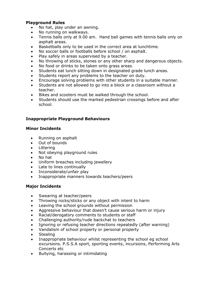#### **Playground Rules**

- No hat, play under an awning.
- No running on walkways.
- Tennis balls only at 9.00 am. Hand ball games with tennis balls only on asphalt areas.
- Basketballs only to be used in the correct area at lunchtime.
- No soccer balls or footballs before school / on asphalt.
- Play safely in areas supervised by a teacher.
- No throwing of sticks, stones or any other sharp and dangerous objects.
- No food or drinks to be taken onto grass areas.
- Students eat lunch sitting down in designated grade lunch areas.
- Students report any problems to the teacher on duty.
- Encourage solving problems with other students in a suitable manner.
- Students are not allowed to go into a block or a classroom without a teacher.
- Bikes and scooters must be walked through the school.
- Students should use the marked pedestrian crossings before and after school.

#### **Inappropriate Playground Behaviours**

#### **Minor Incidents**

- Running on asphalt
- Out of bounds
- Littering
- Not obeying playground rules
- No hat
- Uniform breaches including jewellery
- Late to lines continually
- Inconsiderate/unfair play
- Inappropriate manners towards teachers/peers

#### **Major Incidents**

- Swearing at teacher/peers
- Throwing rocks/sticks or any object with intent to harm
- Leaving the school grounds without permission
- Aggressive behaviour that doesn't cause serious harm or injury
- Racial/derogatory comments to students or staff
- Challenging authority/rude backchat to teachers
- Ignoring or refusing teacher directions repeatedly (after warning)
- Vandalism of school property or personal property
- **Stealing**
- Inappropriate behaviour whilst representing the school eg school excursions. P.S.S.A sport, sporting events, incursions, Performing Arts Concerts etc
- Bullying, harassing or intimidating